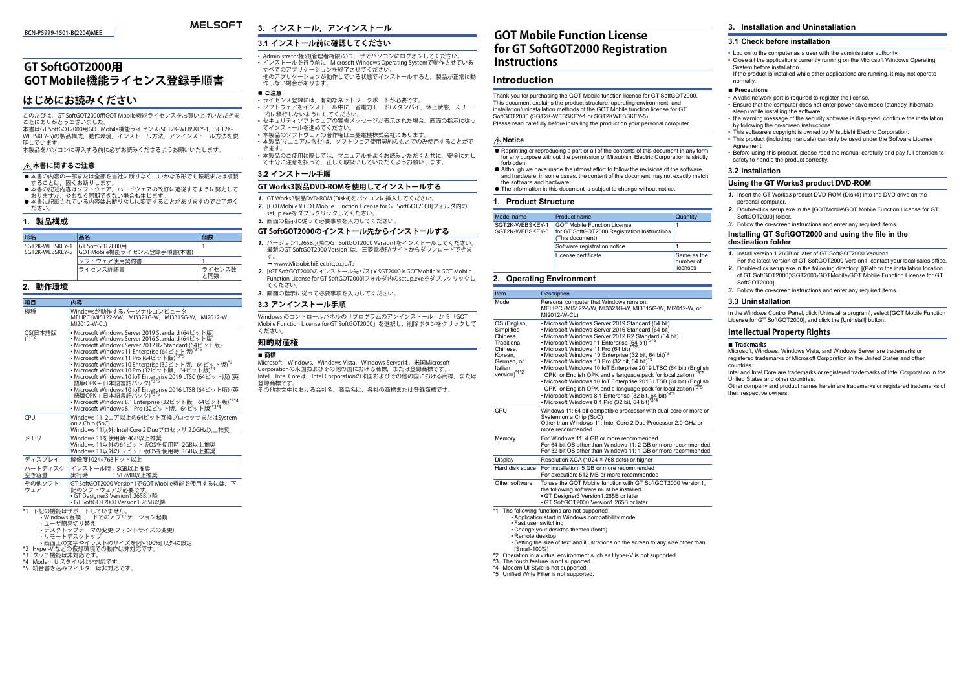#### BCN-P5999-1501-B(2204)MEE

#### **MELSOFT 3. インストール,アンインストール**

## **3.1 インストール前に確認してください**

# **GT SoftGOT2000用GOT Mobile機能ライセンス登録手順書**

# **はじめにお読みください**

このたびは,GT SoftGOT2000用GOT Mobile機能ライセンスをお買い上げいただきまこったりばん こうのにことになり

本書はGT SoftGOT2000用GOT Mobile機能ライセンス(SGT2K-WEBSKEY-1, SGT2K-WEBSKEY-5)の製品構成,動作環境,インストール方法,アンインストール方法を説 明しています。

本製品をパソコンに導入する前に必ずお読みくださるようお願いいたします。

## **本書に関するご注意**

- 本書の内容の一部または全部を当社に断りなく,いかなる形でも転載または複製
- —することは,固くお断りします。<br>● 本書の記述内容はソフトウェア,ハードウェアの改訂に追従するように努力して 。本昌の記述行程はクターリーク,ハハ場合も生じます。
- 本書に記載されている内容はお断りなしに変更することがありますのでご了承く ださい。

### **1. 製品構成**

| 形名                              | 品名                                          |       |
|---------------------------------|---------------------------------------------|-------|
| SGT2K-WEBSKEY-1 GT SoftGOT2000用 | SGT2K-WEBSKEY-5  GOT Mobile機能ライセンス登録手順書(本書) |       |
|                                 | ソフトウェア使用契約書                                 |       |
|                                 | ライセンス許諾書                                    | イセンス数 |

## **2. 動作環境**

| 項目                           | 内容                                                                                                                                                                                                                                                                                                                                                                                                                                                                                                                                                                                                                                                                              |
|------------------------------|---------------------------------------------------------------------------------------------------------------------------------------------------------------------------------------------------------------------------------------------------------------------------------------------------------------------------------------------------------------------------------------------------------------------------------------------------------------------------------------------------------------------------------------------------------------------------------------------------------------------------------------------------------------------------------|
| 機種                           | Windowsが動作するパーソナルコンピュータ<br>MELIPC (MI5122-VW, MI3321G-W, MI3315G-W. MI2012-W.<br>MI2012-W-CL)                                                                                                                                                                                                                                                                                                                                                                                                                                                                                                                                                                                   |
| QS(日本語版<br>\ <sup>*1*2</sup> | • Microsoft Windows Server 2019 Standard (64ビット版)<br>• Microsoft Windows Server 2016 Standard (64ビット版)<br>• Microsoft Windows Server 2012 R2 Standard (64ビット版)<br>• Microsoft Windows 11 Enterprise (64ビット版)<br>• Microsoft Windows 11 Pro (64ビット版) <sup>*3*5</sup><br>• Microsoft Windows 10 Enterprise (32ビット版, 64ビット版)*3<br>• Microsoft Windows 10 Pro (32ビット版, 64ビット版)*3<br>• Microsoft Windows 10 IoT Enterprise 2019 LTSC (64ビット版) (英<br>語版OPK + 日本語言語パック) <sup>*3*5</sup><br>• Microsoft Windows 10 IoT Enterprise 2016 LTSB (64ビット版) (英語版OPK + 日本語言語パック) *35<br>• Microsoft Windows 8.1 Enterprise (32ビット版, 64ビット版)*3*4<br>• Microsoft Windows 8.1 Pro (32ビット版, 64ビット版) |
| CPU                          | Windows 11:2コア以上の64ビット互換プロセッサまたはSystem<br>on a Chip (SoC)<br>Windows 11以外: Intel Core 2 Duoプロセッサ 2.0GHz以上推奨                                                                                                                                                                                                                                                                                                                                                                                                                                                                                                                                                                     |
| メモリ                          | Windows 11を使用時: 4GB以上推奨<br>Windows 11以外の64ビット版OSを使用時: 2GB以上推奨<br>Windows 11以外の32ビット版OSを使用時: 1GB以上推奨                                                                                                                                                                                                                                                                                                                                                                                                                                                                                                                                                                             |
| ディスプレイ                       | 解像度1024×768ドット以上                                                                                                                                                                                                                                                                                                                                                                                                                                                                                                                                                                                                                                                                |
| ハードディスク<br>空き容量              | インストール時: 5GB以上推奨<br>: 512MB以上推奨<br>実行時                                                                                                                                                                                                                                                                                                                                                                                                                                                                                                                                                                                                                                          |
| その他ソフト<br>ウェア                | GT SoftGOT2000 Version1でGOT Mobile機能を使用するには、下<br>記のソフトウェアが必要です。<br>• GT Designer3 Version1.265B以降<br>• GT SoftGOT2000 Version1.265B以降                                                                                                                                                                                                                                                                                                                                                                                                                                                                                                                                           |
|                              | *1 下記の機能はサポートしていません。<br>•Windows 互換モードでのアプリケーション起動<br>・ユーザ簡易切り替え<br>•デスクトップテーマの変更(フォントサイズの変更)<br>• リモートデスクトップ<br>• 画面上の文字やイラストのサイズを[小-100%] 以外に設定                                                                                                                                                                                                                                                                                                                                                                                                                                                                                                                               |

\*2 Hyper-V などの仮想環境での動作は非対応です。 \*3 タッチ機能は非対応です。

\*4 Modern UIスタイルは非対応です。

- 
- \*5 統合書き込みフィルターは非対応です。
- すべてのアプリケーションを終了させてください。 他のアプリケーションが動作している状態でインストールすると,製品が正常に動作しない場合があります。
- **ご注意** • ライセンス登録には,有効なネットワークポートが必要です。
- ソフトウェアをインストール中に,省電力モード(スタンバイ,休止状態,スリープ)に移行しないようにしてください。

• Administrator権限(管理者権限)のユーザでパソコンにログオンしてください。• インストールを行う前に, Microsoft Windows Operating Systemで動作させている

- セキュリティソフトウェアの警告メッセージが表示された場合,画面の指示に従ってインストールを進めてください。
- 本製品のソフトウェアの著作権は三菱電機株式会社にあります。
- 本製品(マニュアル含む)は,ソフトウェア使用契約のもとでのみ使用することができます。
- 本製品のご使用に際しては,マニュアルをよくお読みいただくと共に,安全に対し て十分に注意を払って,正しく取扱いしていただくようお願いします。

### **3.2 インストール手順**

#### **GT Works3製品DVD-ROMを使用してインストールする**

- *1.* GT Works3製品DVD-ROM (Disk4)をパソコンに挿入してください。
- *2.* [GOTMobile¥GOT Mobile Function License for GT SoftGOT2000]フォルダ内のsetup.exeをダブルクリックしてください。
- *3.* 画面の指示に従って必要事項を入力してください。

#### **GT SoftGOT2000のインストール先からインストールする**

- *1.* バージョン1.265B以降のGT SoftGOT2000 Version1をインストールしてください。 最新のGT SoftGOT2000 Version1は,三菱電機FAサイトからダウンロードできま す。
- → www.MitsubishiElectric.co.jp/fa
- *2.* [(GT SoftGOT2000のインストール先パス)¥SGT2000¥GOTMobile¥GOT Mobile Function License for GT SoftGOT2000]フォルダ内のsetup.exeをダブルクリックし てください。
- *3.* 画面の指示に従って必要事項を入力してください。

#### **3.3 アンインストール手順**

Windows のコントロールパネルの「プログラムのアンインストール」から「GOT Mobile Function License for GT SoftGOT2000」を選択し,削除ボタンをクリックしてください。

#### **知的財産権**

| ■ 商標                                                            |  |
|-----------------------------------------------------------------|--|
| Microsoft, Windows, Windows Vista, Windows Serverは, 米国Microsoft |  |
| Corporationの米国およびその他の国における商標、または登録商標です。                         |  |
| Intel, Intel Coreは, Intel Corporationの米国およびその他の国における商標, または     |  |
| 登録商標です。                                                         |  |
| スのルナサナビナリタムせか<br>本ロクは タジの本極されない ※全本極大士                          |  |

その他本文中における会社名,商品名は,各社の商標または登録商標です。

# **GOT Mobile Function License for GT SoftGOT2000 Registration Instructions**

## **Introduction**

Thank you for purchasing the GOT Mobile function license for GT SoftGOT2000. This document explains the product structure, operating environment, and installation/uninstallation methods of the GOT Mobile function license for GT SoftGOT2000 (SGT2K-WEBSKEY-1 or SGT2KWEBSKEY-5). Please read carefully before installing the product on your personal computer.

## **Notice**

- $\bullet$  Reprinting or reproducing a part or all of the contents of this document in any form for any purpose without the permission of Mitsubishi Electric Corporation is strictly forbidden.
- Although we have made the utmost effort to follow the revisions of the software and hardware, in some cases, the content of this document may not exactly match
- the software and hardware.● The information in this document is subject to change without notice.

### **1. Product Structure**

| Model name                         | Product name                                                                                          | Quantity                              |
|------------------------------------|-------------------------------------------------------------------------------------------------------|---------------------------------------|
| SGT2K-WEBSKEY-1<br>SGT2K-WEBSKEY-5 | <b>GOT Mobile Function License</b><br>for GT SoftGOT2000 Registration Instructions<br>(This document) |                                       |
|                                    | Software registration notice                                                                          |                                       |
|                                    | License certificate                                                                                   | Same as the<br>Inumber of<br>licenses |

# **2. Operating Environment**

|                                                                                                                                             | Item                                                                                                                  | Description                                                                                                                                                                                                                                                                                                                                                                                                                                                                                                                                                                                                                                                                                                                                                                                                                |
|---------------------------------------------------------------------------------------------------------------------------------------------|-----------------------------------------------------------------------------------------------------------------------|----------------------------------------------------------------------------------------------------------------------------------------------------------------------------------------------------------------------------------------------------------------------------------------------------------------------------------------------------------------------------------------------------------------------------------------------------------------------------------------------------------------------------------------------------------------------------------------------------------------------------------------------------------------------------------------------------------------------------------------------------------------------------------------------------------------------------|
|                                                                                                                                             | Model                                                                                                                 | Personal computer that Windows runs on.<br>MELIPC (MI5122-VW, MI3321G-W, MI3315G-W, MI2012-W, or<br>MI2012-W-CL)                                                                                                                                                                                                                                                                                                                                                                                                                                                                                                                                                                                                                                                                                                           |
|                                                                                                                                             | OS (English,<br>Simplified<br>Chinese.<br>Traditional<br>Chinese,<br>Korean,<br>German, or<br>Italian<br>version)*1*2 | . Microsoft Windows Server 2019 Standard (64 bit)<br>· Microsoft Windows Server 2016 Standard (64 bit)<br>. Microsoft Windows Server 2012 R2 Standard (64 bit)<br>• Microsoft Windows 11 Enterprise (64 bit) <sup>*3*5</sup><br>• Microsoft Windows 11 Pro (64 bit) <sup>*3*5</sup><br>• Microsoft Windows 10 Enterprise (32 bit, 64 bit) <sup>*3</sup><br>• Microsoft Windows 10 Pro (32 bit, 64 bit)<br>• Microsoft Windows 10 IoT Enterprise 2019 LTSC (64 bit) (English<br>OPK, or English OPK and a language pack for localization) *3*5<br>• Microsoft Windows 10 IoT Enterprise 2016 LTSB (64 bit) (English<br>OPK, or English OPK and a language pack for localization) <sup>*3*5</sup><br>• Microsoft Windows 8.1 Enterprise (32 bit, 64 bit)*3*4<br>• Microsoft Windows 8.1 Pro (32 bit, 64 bit) <sup>*3*4</sup> |
|                                                                                                                                             | CPU                                                                                                                   | Windows 11: 64 bit-compatible processor with dual-core or more or<br>System on a Chip (SoC)<br>Other than Windows 11: Intel Core 2 Duo Processor 2.0 GHz or<br>more recommended                                                                                                                                                                                                                                                                                                                                                                                                                                                                                                                                                                                                                                            |
|                                                                                                                                             | Memory                                                                                                                | For Windows 11: 4 GB or more recommended<br>For 64-bit OS other than Windows 11: 2 GB or more recommended<br>For 32-bit OS other than Windows 11: 1 GB or more recommended                                                                                                                                                                                                                                                                                                                                                                                                                                                                                                                                                                                                                                                 |
|                                                                                                                                             | Display                                                                                                               | Resolution XGA (1024 × 768 dots) or higher                                                                                                                                                                                                                                                                                                                                                                                                                                                                                                                                                                                                                                                                                                                                                                                 |
|                                                                                                                                             | Hard disk space                                                                                                       | For installation: 5 GB or more recommended<br>For execution: 512 MB or more recommended                                                                                                                                                                                                                                                                                                                                                                                                                                                                                                                                                                                                                                                                                                                                    |
|                                                                                                                                             | Other software                                                                                                        | To use the GOT Mobile function with GT SoftGOT2000 Version1.<br>the following software must be installed.<br>· GT Designer3 Version1.265B or later<br>· GT SoftGOT2000 Version1.265B or later                                                                                                                                                                                                                                                                                                                                                                                                                                                                                                                                                                                                                              |
| · Fast user switching<br>· Remote desktop<br>[Small-100%]<br>*3 The touch feature is not supported.<br>*4 Modern UI Style is not supported. |                                                                                                                       | *1 The following functions are not supported.<br>• Application start in Windows compatibility mode<br>• Change your desktop themes (fonts)<br>. Setting the size of text and illustrations on the screen to any size other than<br>*2 Operation in a virtual environment such as Hyper-V is not supported.<br>*5 Unified Write Filter is not supported.                                                                                                                                                                                                                                                                                                                                                                                                                                                                    |

## **3. Installation and Uninstallation**

## **3.1 Check before installation**

- Log on to the computer as a user with the administrator authority. • Close all the applications currently running on the Microsoft Windows Operating System before installation.
- If the product is installed while other applications are running, it may not operate normally.

#### **■ Precautions**

- A valid network port is required to register the license.
- Ensure that the computer does not enter power save mode (standby, hibernate, sleep) while installing the software.
- If a warning message of the security software is displayed, continue the installation by following the on-screen instructions.
- This software's copyright is owned by Mitsubishi Electric Corporation.
- This product (including manuals) can only be used under the Software License Agreement.
- Before using this product, please read the manual carefully and pay full attention to safety to handle the product correctly.

#### **3.2 Installation**

### **Using the GT Works3 product DVD-ROM**

- *1.* Insert the GT Works3 product DVD-ROM (Disk4) into the DVD drive on the personal computer.
- *2.* Double-click setup.exe in the [GOTMobile\GOT Mobile Function License for GT SoftGOT20001 folder
- *3.* Follow the on-screen instructions and enter any required items.

#### **Installing GT SoftGOT2000 and using the file in the destination folder**

- 
- *1.* Install version 1.265B or later of GT SoftGOT2000 Version1. For the latest version of GT SoftGOT2000 Version1, contact your local sales office.
- *2.* Double-click setup.exe in the following directory: [(Path to the installation location of GT SoftGOT2000)\SGT2000\GOTMobile\GOT Mobile Function License for GT SoftGOT2000].
- *3.* Follow the on-screen instructions and enter any required items.

#### **3.3 Uninstallation**

In the Windows Control Panel, click [Uninstall a program], select [GOT Mobile Function License for GT SoftGOT2000], and click the [Uninstall] button.

#### **Intellectual Property Rights**

#### **Trademarks**

Microsoft, Windows, Windows Vista, and Windows Server are trademarks or registered trademarks of Microsoft Corporation in the United States and other countries.

 Intel and Intel Core are trademarks or registered trademarks of Intel Corporation in the United States and other countries.

 Other company and product names herein are trademarks or registered trademarks of their respective owners.